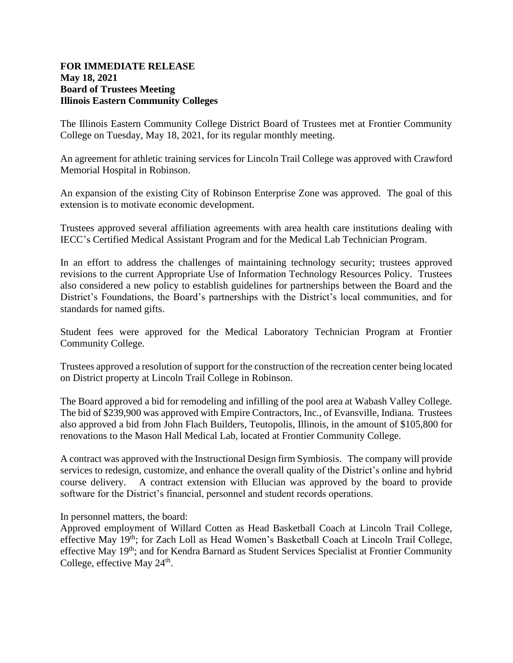## **FOR IMMEDIATE RELEASE May 18, 2021 Board of Trustees Meeting Illinois Eastern Community Colleges**

The Illinois Eastern Community College District Board of Trustees met at Frontier Community College on Tuesday, May 18, 2021, for its regular monthly meeting.

An agreement for athletic training services for Lincoln Trail College was approved with Crawford Memorial Hospital in Robinson.

An expansion of the existing City of Robinson Enterprise Zone was approved. The goal of this extension is to motivate economic development.

Trustees approved several affiliation agreements with area health care institutions dealing with IECC's Certified Medical Assistant Program and for the Medical Lab Technician Program.

In an effort to address the challenges of maintaining technology security; trustees approved revisions to the current Appropriate Use of Information Technology Resources Policy. Trustees also considered a new policy to establish guidelines for partnerships between the Board and the District's Foundations, the Board's partnerships with the District's local communities, and for standards for named gifts.

Student fees were approved for the Medical Laboratory Technician Program at Frontier Community College.

Trustees approved a resolution of support for the construction of the recreation center being located on District property at Lincoln Trail College in Robinson.

The Board approved a bid for remodeling and infilling of the pool area at Wabash Valley College. The bid of \$239,900 was approved with Empire Contractors, Inc., of Evansville, Indiana. Trustees also approved a bid from John Flach Builders, Teutopolis, Illinois, in the amount of \$105,800 for renovations to the Mason Hall Medical Lab, located at Frontier Community College.

A contract was approved with the Instructional Design firm Symbiosis. The company will provide services to redesign, customize, and enhance the overall quality of the District's online and hybrid course delivery. A contract extension with Ellucian was approved by the board to provide software for the District's financial, personnel and student records operations.

In personnel matters, the board:

Approved employment of Willard Cotten as Head Basketball Coach at Lincoln Trail College, effective May 19<sup>th</sup>; for Zach Loll as Head Women's Basketball Coach at Lincoln Trail College, effective May 19<sup>th</sup>; and for Kendra Barnard as Student Services Specialist at Frontier Community College, effective May 24<sup>th</sup>.